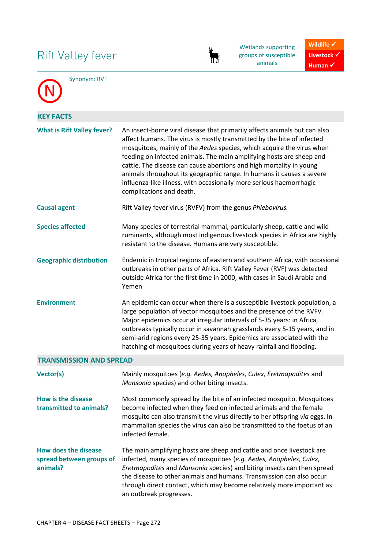# Rift Valley fever



Wetlands supporting groups of susceptible animals



N

Synonym: RVF

| <b>KEY FACTS</b>                                                    |                                                                                                                                                                                                                                                                                                                                                                                                                                                                                                                                                         |
|---------------------------------------------------------------------|---------------------------------------------------------------------------------------------------------------------------------------------------------------------------------------------------------------------------------------------------------------------------------------------------------------------------------------------------------------------------------------------------------------------------------------------------------------------------------------------------------------------------------------------------------|
| <b>What is Rift Valley fever?</b>                                   | An insect-borne viral disease that primarily affects animals but can also<br>affect humans. The virus is mostly transmitted by the bite of infected<br>mosquitoes, mainly of the Aedes species, which acquire the virus when<br>feeding on infected animals. The main amplifying hosts are sheep and<br>cattle. The disease can cause abortions and high mortality in young<br>animals throughout its geographic range. In humans it causes a severe<br>influenza-like illness, with occasionally more serious haemorrhagic<br>complications and death. |
| <b>Causal agent</b>                                                 | Rift Valley fever virus (RVFV) from the genus Phlebovirus.                                                                                                                                                                                                                                                                                                                                                                                                                                                                                              |
| <b>Species affected</b>                                             | Many species of terrestrial mammal, particularly sheep, cattle and wild<br>ruminants, although most indigenous livestock species in Africa are highly<br>resistant to the disease. Humans are very susceptible.                                                                                                                                                                                                                                                                                                                                         |
| <b>Geographic distribution</b>                                      | Endemic in tropical regions of eastern and southern Africa, with occasional<br>outbreaks in other parts of Africa. Rift Valley Fever (RVF) was detected<br>outside Africa for the first time in 2000, with cases in Saudi Arabia and<br>Yemen                                                                                                                                                                                                                                                                                                           |
| <b>Environment</b>                                                  | An epidemic can occur when there is a susceptible livestock population, a<br>large population of vector mosquitoes and the presence of the RVFV.<br>Major epidemics occur at irregular intervals of 5-35 years: in Africa,<br>outbreaks typically occur in savannah grasslands every 5-15 years, and in<br>semi-arid regions every 25-35 years. Epidemics are associated with the<br>hatching of mosquitoes during years of heavy rainfall and flooding.                                                                                                |
| <b>TRANSMISSION AND SPREAD</b>                                      |                                                                                                                                                                                                                                                                                                                                                                                                                                                                                                                                                         |
| Vector(s)                                                           | Mainly mosquitoes (e.g. Aedes, Anopheles, Culex, Eretmapodites and<br>Mansonia species) and other biting insects.                                                                                                                                                                                                                                                                                                                                                                                                                                       |
| How is the disease<br>transmitted to animals?                       | Most commonly spread by the bite of an infected mosquito. Mosquitoes<br>become infected when they feed on infected animals and the female<br>mosquito can also transmit the virus directly to her offspring via eggs. In<br>mammalian species the virus can also be transmitted to the foetus of an<br>infected female.                                                                                                                                                                                                                                 |
| <b>How does the disease</b><br>spread between groups of<br>animals? | The main amplifying hosts are sheep and cattle and once livestock are<br>infected, many species of mosquitoes (e.g. Aedes, Anopheles, Culex,<br>Eretmapodites and Mansonia species) and biting insects can then spread<br>the disease to other animals and humans. Transmission can also occur<br>through direct contact, which may become relatively more important as<br>an outbreak progresses.                                                                                                                                                      |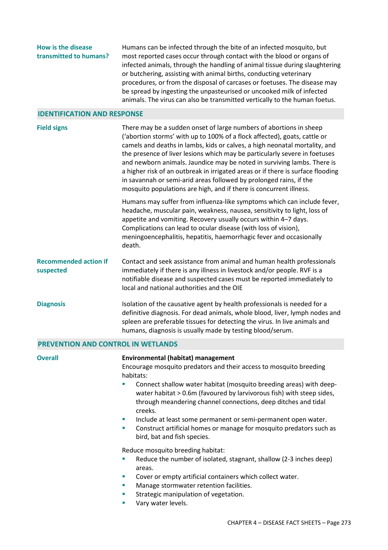**How is the disease transmitted to humans?**  Humans can be infected through the bite of an infected mosquito, but most reported cases occur through contact with the blood or organs of infected animals, through the handling of animal tissue during slaughtering or butchering, assisting with animal births, conducting veterinary procedures, or from the disposal of carcases or foetuses. The disease may be spread by ingesting the unpasteurised or uncooked milk of infected animals. The virus can also be transmitted vertically to the human foetus.

#### **IDENTIFICATION AND RESPONSE**

| <b>Field signs</b>                        | There may be a sudden onset of large numbers of abortions in sheep<br>('abortion storms' with up to 100% of a flock affected), goats, cattle or<br>camels and deaths in lambs, kids or calves, a high neonatal mortality, and<br>the presence of liver lesions which may be particularly severe in foetuses<br>and newborn animals. Jaundice may be noted in surviving lambs. There is<br>a higher risk of an outbreak in irrigated areas or if there is surface flooding<br>in savannah or semi-arid areas followed by prolonged rains, if the<br>mosquito populations are high, and if there is concurrent illness. |
|-------------------------------------------|-----------------------------------------------------------------------------------------------------------------------------------------------------------------------------------------------------------------------------------------------------------------------------------------------------------------------------------------------------------------------------------------------------------------------------------------------------------------------------------------------------------------------------------------------------------------------------------------------------------------------|
|                                           | Humans may suffer from influenza-like symptoms which can include fever,<br>headache, muscular pain, weakness, nausea, sensitivity to light, loss of<br>appetite and vomiting. Recovery usually occurs within 4-7 days.<br>Complications can lead to ocular disease (with loss of vision),<br>meningoencephalitis, hepatitis, haemorrhagic fever and occasionally<br>death.                                                                                                                                                                                                                                            |
| <b>Recommended action if</b><br>suspected | Contact and seek assistance from animal and human health professionals<br>immediately if there is any illness in livestock and/or people. RVF is a<br>notifiable disease and suspected cases must be reported immediately to<br>local and national authorities and the OIE                                                                                                                                                                                                                                                                                                                                            |
| <b>Diagnosis</b>                          | Isolation of the causative agent by health professionals is needed for a<br>definitive diagnosis. For dead animals, whole blood, liver, lymph nodes and<br>spleen are preferable tissues for detecting the virus. In live animals and<br>humans, diagnosis is usually made by testing blood/serum.                                                                                                                                                                                                                                                                                                                    |

### **PREVENTION AND CONTROL IN WETLANDS**

| <b>Overall</b> | <b>Environmental (habitat) management</b>                                                                                                                                                                                                  |
|----------------|--------------------------------------------------------------------------------------------------------------------------------------------------------------------------------------------------------------------------------------------|
|                | Encourage mosquito predators and their access to mosquito breeding<br>habitats:                                                                                                                                                            |
|                | Connect shallow water habitat (mosquito breeding areas) with deep-<br>$\blacksquare$<br>water habitat > 0.6m (favoured by larvivorous fish) with steep sides,<br>through meandering channel connections, deep ditches and tidal<br>creeks. |
|                | Include at least some permanent or semi-permanent open water.<br>$\mathcal{L}_{\mathcal{A}}$                                                                                                                                               |
|                | Construct artificial homes or manage for mosquito predators such as<br>$\mathcal{L}_{\mathcal{A}}$<br>bird, bat and fish species.                                                                                                          |
|                | Reduce mosquito breeding habitat:                                                                                                                                                                                                          |
|                | Reduce the number of isolated, stagnant, shallow (2-3 inches deep)<br>ш<br>areas.                                                                                                                                                          |
|                | Cover or empty artificial containers which collect water.<br>$\mathcal{L}_{\mathcal{A}}$                                                                                                                                                   |
|                | Manage stormwater retention facilities.<br><b>COL</b>                                                                                                                                                                                      |
|                | Strategic manipulation of vegetation.<br><b>COL</b>                                                                                                                                                                                        |
|                | Vary water levels.<br>a.                                                                                                                                                                                                                   |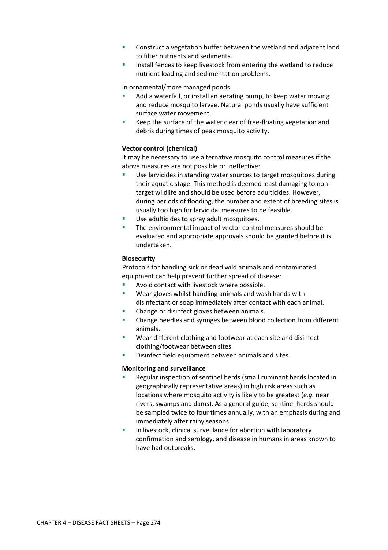- Construct a vegetation buffer between the wetland and adjacent land to filter nutrients and sediments.
- Install fences to keep livestock from entering the wetland to reduce nutrient loading and sedimentation problems.

In ornamental/more managed ponds:

- Add a waterfall, or install an aerating pump, to keep water moving and reduce mosquito larvae. Natural ponds usually have sufficient surface water movement.
- Keep the surface of the water clear of free-floating vegetation and debris during times of peak mosquito activity.

# **Vector control (chemical)**

It may be necessary to use alternative mosquito control measures if the above measures are not possible or ineffective:

- Use larvicides in standing water sources to target mosquitoes during their aquatic stage. This method is deemed least damaging to nontarget wildlife and should be used before adulticides. However, during periods of flooding, the number and extent of breeding sites is usually too high for larvicidal measures to be feasible.
- Use adulticides to spray adult mosquitoes.
- The environmental impact of vector control measures should be evaluated and appropriate approvals should be granted before it is undertaken.

# **Biosecurity**

Protocols for handling sick or dead wild animals and contaminated equipment can help prevent further spread of disease:

- Avoid contact with livestock where possible.
- Wear gloves whilst handling animals and wash hands with disinfectant or soap immediately after contact with each animal.
- Change or disinfect gloves between animals.
- Change needles and syringes between blood collection from different animals.
- Wear different clothing and footwear at each site and disinfect clothing/footwear between sites.
- Disinfect field equipment between animals and sites.

#### **Monitoring and surveillance**

- Regular inspection of sentinel herds (small ruminant herds located in geographically representative areas) in high risk areas such as locations where mosquito activity is likely to be greatest (*e.g.* near rivers, swamps and dams). As a general guide, sentinel herds should be sampled twice to four times annually, with an emphasis during and immediately after rainy seasons.
- In livestock, clinical surveillance for abortion with laboratory confirmation and serology, and disease in humans in areas known to have had outbreaks.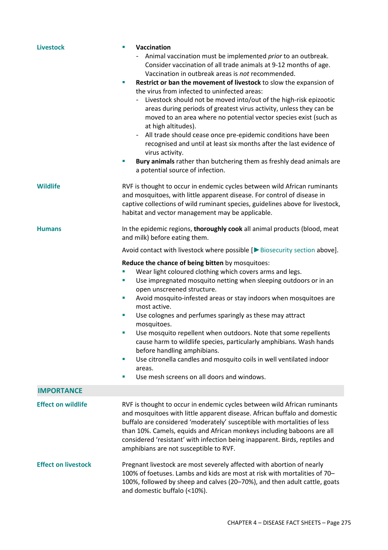| <b>Livestock</b>           | Vaccination<br>×<br>Animal vaccination must be implemented prior to an outbreak.<br>Consider vaccination of all trade animals at 9-12 months of age.<br>Vaccination in outbreak areas is not recommended.<br>Restrict or ban the movement of livestock to slow the expansion of<br>$\mathcal{L}_{\mathcal{A}}$<br>the virus from infected to uninfected areas:<br>Livestock should not be moved into/out of the high-risk epizootic<br>areas during periods of greatest virus activity, unless they can be<br>moved to an area where no potential vector species exist (such as<br>at high altitudes).<br>All trade should cease once pre-epidemic conditions have been<br>$\overline{\phantom{a}}$<br>recognised and until at least six months after the last evidence of<br>virus activity.<br>Bury animals rather than butchering them as freshly dead animals are<br>×<br>a potential source of infection. |
|----------------------------|----------------------------------------------------------------------------------------------------------------------------------------------------------------------------------------------------------------------------------------------------------------------------------------------------------------------------------------------------------------------------------------------------------------------------------------------------------------------------------------------------------------------------------------------------------------------------------------------------------------------------------------------------------------------------------------------------------------------------------------------------------------------------------------------------------------------------------------------------------------------------------------------------------------|
| <b>Wildlife</b>            | RVF is thought to occur in endemic cycles between wild African ruminants<br>and mosquitoes, with little apparent disease. For control of disease in<br>captive collections of wild ruminant species, guidelines above for livestock,<br>habitat and vector management may be applicable.                                                                                                                                                                                                                                                                                                                                                                                                                                                                                                                                                                                                                       |
| <b>Humans</b>              | In the epidemic regions, thoroughly cook all animal products (blood, meat<br>and milk) before eating them.                                                                                                                                                                                                                                                                                                                                                                                                                                                                                                                                                                                                                                                                                                                                                                                                     |
|                            | Avoid contact with livestock where possible $[\triangleright$ Biosecurity section above].                                                                                                                                                                                                                                                                                                                                                                                                                                                                                                                                                                                                                                                                                                                                                                                                                      |
|                            | Reduce the chance of being bitten by mosquitoes:<br>Wear light coloured clothing which covers arms and legs.<br>Use impregnated mosquito netting when sleeping outdoors or in an<br>ш<br>open unscreened structure.<br>Avoid mosquito-infested areas or stay indoors when mosquitoes are<br>ш<br>most active.<br>Use colognes and perfumes sparingly as these may attract<br>ш<br>mosquitoes.<br>Use mosquito repellent when outdoors. Note that some repellents<br>cause harm to wildlife species, particularly amphibians. Wash hands<br>before handling amphibians.<br>Use citronella candles and mosquito coils in well ventilated indoor<br>$\mathcal{L}_{\mathcal{A}}$<br>areas.<br>Use mesh screens on all doors and windows.<br>×                                                                                                                                                                      |
| <b>IMPORTANCE</b>          |                                                                                                                                                                                                                                                                                                                                                                                                                                                                                                                                                                                                                                                                                                                                                                                                                                                                                                                |
| <b>Effect on wildlife</b>  | RVF is thought to occur in endemic cycles between wild African ruminants<br>and mosquitoes with little apparent disease. African buffalo and domestic<br>buffalo are considered 'moderately' susceptible with mortalities of less<br>than 10%. Camels, equids and African monkeys including baboons are all<br>considered 'resistant' with infection being inapparent. Birds, reptiles and<br>amphibians are not susceptible to RVF.                                                                                                                                                                                                                                                                                                                                                                                                                                                                           |
| <b>Effect on livestock</b> | Pregnant livestock are most severely affected with abortion of nearly<br>100% of foetuses. Lambs and kids are most at risk with mortalities of 70-<br>100%, followed by sheep and calves (20-70%), and then adult cattle, goats<br>and domestic buffalo (<10%).                                                                                                                                                                                                                                                                                                                                                                                                                                                                                                                                                                                                                                                |